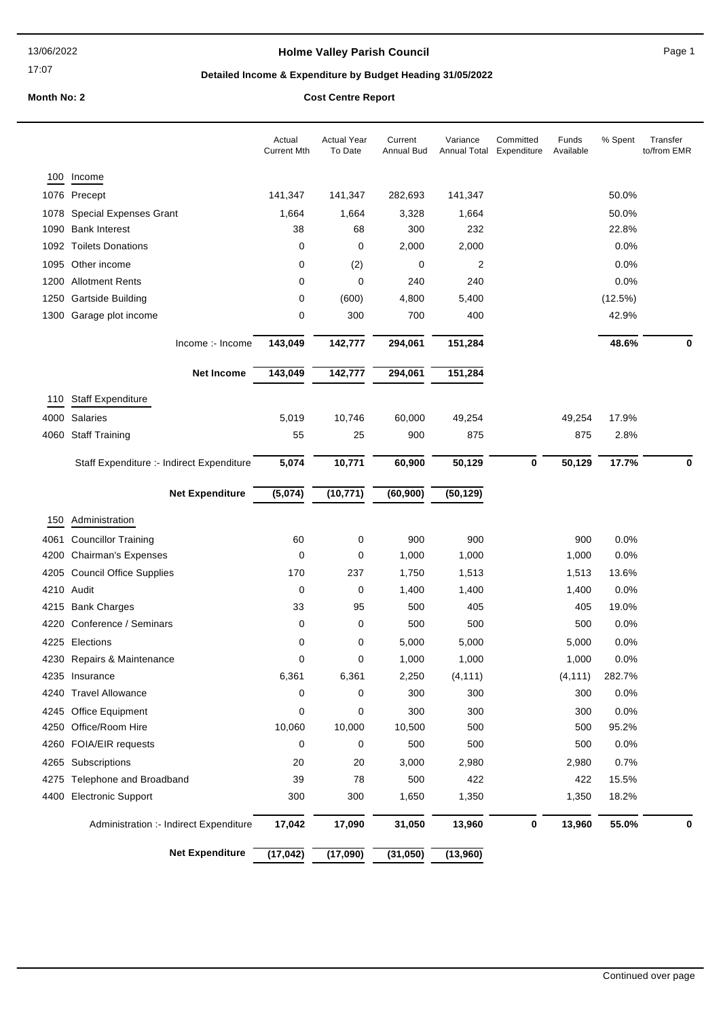17:07

# **Holme Valley Parish Council Page 1**

# **Detailed Income & Expenditure by Budget Heading 31/05/2022**

**Month No: 2 Cost Centre Report** 

|      |                                           | Actual<br><b>Current Mth</b> | <b>Actual Year</b><br>To Date | Current<br>Annual Bud | Variance<br>Annual Total Expenditure | Committed | Funds<br>Available | % Spent | Transfer<br>to/from EMR |
|------|-------------------------------------------|------------------------------|-------------------------------|-----------------------|--------------------------------------|-----------|--------------------|---------|-------------------------|
| 100  | Income                                    |                              |                               |                       |                                      |           |                    |         |                         |
|      | 1076 Precept                              | 141,347                      | 141,347                       | 282,693               | 141,347                              |           |                    | 50.0%   |                         |
| 1078 | <b>Special Expenses Grant</b>             | 1,664                        | 1,664                         | 3,328                 | 1,664                                |           |                    | 50.0%   |                         |
| 1090 | <b>Bank Interest</b>                      | 38                           | 68                            | 300                   | 232                                  |           |                    | 22.8%   |                         |
|      | 1092 Toilets Donations                    | 0                            | 0                             | 2,000                 | 2,000                                |           |                    | 0.0%    |                         |
|      | 1095 Other income                         | 0                            | (2)                           | 0                     | 2                                    |           |                    | 0.0%    |                         |
|      | 1200 Allotment Rents                      | 0                            | 0                             | 240                   | 240                                  |           |                    | 0.0%    |                         |
| 1250 | Gartside Building                         | 0                            | (600)                         | 4,800                 | 5,400                                |           |                    | (12.5%) |                         |
|      | 1300 Garage plot income                   | 0                            | 300                           | 700                   | 400                                  |           |                    | 42.9%   |                         |
|      | Income :- Income                          | 143,049                      | 142,777                       | 294,061               | 151,284                              |           |                    | 48.6%   | 0                       |
|      | <b>Net Income</b>                         | 143,049                      | 142,777                       | 294,061               | 151,284                              |           |                    |         |                         |
| 110  | <b>Staff Expenditure</b>                  |                              |                               |                       |                                      |           |                    |         |                         |
| 4000 | Salaries                                  | 5,019                        | 10,746                        | 60,000                | 49,254                               |           | 49,254             | 17.9%   |                         |
| 4060 | <b>Staff Training</b>                     | 55                           | 25                            | 900                   | 875                                  |           | 875                | 2.8%    |                         |
|      | Staff Expenditure :- Indirect Expenditure | 5,074                        | 10,771                        | 60,900                | 50,129                               | 0         | 50,129             | 17.7%   | 0                       |
|      |                                           |                              |                               |                       |                                      |           |                    |         |                         |
|      | <b>Net Expenditure</b>                    | (5,074)                      | (10, 771)                     | (60, 900)             | (50, 129)                            |           |                    |         |                         |
| 150  | Administration                            |                              |                               |                       |                                      |           |                    |         |                         |
| 4061 | <b>Councillor Training</b>                | 60                           | 0                             | 900                   | 900                                  |           | 900                | 0.0%    |                         |
| 4200 | <b>Chairman's Expenses</b>                | 0                            | 0                             | 1,000                 | 1,000                                |           | 1,000              | 0.0%    |                         |
| 4205 | <b>Council Office Supplies</b>            | 170                          | 237                           | 1,750                 | 1,513                                |           | 1,513              | 13.6%   |                         |
|      | 4210 Audit                                | 0                            | 0                             | 1,400                 | 1,400                                |           | 1,400              | 0.0%    |                         |
|      | 4215 Bank Charges                         | 33                           | 95                            | 500                   | 405                                  |           | 405                | 19.0%   |                         |
| 4220 | Conference / Seminars                     | 0                            | 0                             | 500                   | 500                                  |           | 500                | 0.0%    |                         |
|      | 4225 Elections                            | 0                            | 0                             | 5,000                 | 5,000                                |           | 5,000              | $0.0\%$ |                         |
|      | 4230 Repairs & Maintenance                | 0                            | 0                             | 1,000                 | 1,000                                |           | 1,000              | 0.0%    |                         |
|      | 4235 Insurance                            | 6,361                        | 6,361                         | 2,250                 | (4, 111)                             |           | (4, 111)           | 282.7%  |                         |
|      | 4240 Travel Allowance                     | 0                            | 0                             | 300                   | 300                                  |           | 300                | 0.0%    |                         |
|      | 4245 Office Equipment                     | $\pmb{0}$                    | 0                             | 300                   | 300                                  |           | 300                | 0.0%    |                         |
| 4250 | Office/Room Hire                          | 10,060                       | 10,000                        | 10,500                | 500                                  |           | 500                | 95.2%   |                         |
|      | 4260 FOIA/EIR requests                    | 0                            | 0                             | 500                   | 500                                  |           | 500                | 0.0%    |                         |
|      | 4265 Subscriptions                        | 20                           | 20                            | 3,000                 | 2,980                                |           | 2,980              | 0.7%    |                         |
|      | 4275 Telephone and Broadband              | 39                           | 78                            | 500                   | 422                                  |           | 422                | 15.5%   |                         |
|      | 4400 Electronic Support                   | 300                          | 300                           | 1,650                 | 1,350                                |           | 1,350              | 18.2%   |                         |
|      | Administration :- Indirect Expenditure    | 17,042                       | 17,090                        | 31,050                | 13,960                               | 0         | 13,960             | 55.0%   | 0                       |
|      | <b>Net Expenditure</b>                    | (17, 042)                    | (17,090)                      | (31,050)              | (13,960)                             |           |                    |         |                         |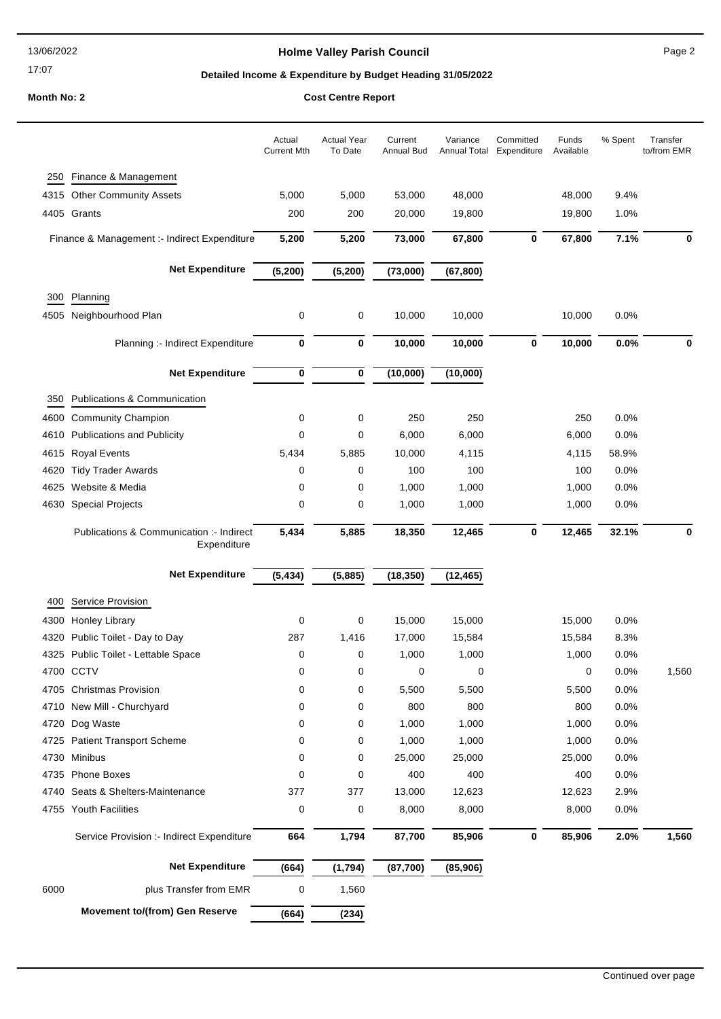17:07

### **Holme Valley Parish Council Page 2**

### **Detailed Income & Expenditure by Budget Heading 31/05/2022**

**Month No: 2 Cost Centre Report** 

|      |                                                         | Actual<br><b>Current Mth</b> | <b>Actual Year</b><br>To Date | Current<br>Annual Bud | Variance<br><b>Annual Total</b> | Committed<br>Expenditure | Funds<br>Available | % Spent | Transfer<br>to/from EMR |
|------|---------------------------------------------------------|------------------------------|-------------------------------|-----------------------|---------------------------------|--------------------------|--------------------|---------|-------------------------|
| 250  | Finance & Management                                    |                              |                               |                       |                                 |                          |                    |         |                         |
|      | 4315 Other Community Assets                             | 5,000                        | 5,000                         | 53,000                | 48,000                          |                          | 48,000             | 9.4%    |                         |
|      | 4405 Grants                                             | 200                          | 200                           | 20,000                | 19,800                          |                          | 19,800             | 1.0%    |                         |
|      | Finance & Management :- Indirect Expenditure            | 5,200                        | 5,200                         | 73,000                | 67,800                          | 0                        | 67,800             | 7.1%    | 0                       |
|      | <b>Net Expenditure</b>                                  | (5, 200)                     | (5, 200)                      | (73,000)              | (67, 800)                       |                          |                    |         |                         |
| 300  | Planning                                                |                              |                               |                       |                                 |                          |                    |         |                         |
|      | 4505 Neighbourhood Plan                                 | 0                            | 0                             | 10,000                | 10,000                          |                          | 10,000             | 0.0%    |                         |
|      | Planning :- Indirect Expenditure                        | 0                            | $\bf{0}$                      | 10,000                | 10,000                          | $\mathbf 0$              | 10,000             | 0.0%    | 0                       |
|      | <b>Net Expenditure</b>                                  | 0                            | $\pmb{0}$                     | (10,000)              | (10,000)                        |                          |                    |         |                         |
| 350  | <b>Publications &amp; Communication</b>                 |                              |                               |                       |                                 |                          |                    |         |                         |
|      | 4600 Community Champion                                 | $\mathbf 0$                  | 0                             | 250                   | 250                             |                          | 250                | 0.0%    |                         |
| 4610 | <b>Publications and Publicity</b>                       | 0                            | 0                             | 6,000                 | 6,000                           |                          | 6,000              | 0.0%    |                         |
|      | 4615 Royal Events                                       | 5,434                        | 5,885                         | 10,000                | 4,115                           |                          | 4,115              | 58.9%   |                         |
| 4620 | <b>Tidy Trader Awards</b>                               | 0                            | 0                             | 100                   | 100                             |                          | 100                | 0.0%    |                         |
| 4625 | Website & Media                                         | 0                            | 0                             | 1,000                 | 1,000                           |                          | 1,000              | 0.0%    |                         |
|      | 4630 Special Projects                                   | 0                            | 0                             | 1,000                 | 1,000                           |                          | 1,000              | 0.0%    |                         |
|      | Publications & Communication :- Indirect<br>Expenditure | 5,434                        | 5,885                         | 18,350                | 12,465                          | $\bf{0}$                 | 12,465             | 32.1%   | 0                       |
|      | <b>Net Expenditure</b>                                  | (5, 434)                     | (5,885)                       | (18, 350)             | (12, 465)                       |                          |                    |         |                         |
| 400  | Service Provision                                       |                              |                               |                       |                                 |                          |                    |         |                         |
|      | 4300 Honley Library                                     | 0                            | 0                             | 15,000                | 15,000                          |                          | 15,000             | 0.0%    |                         |
| 4320 | Public Toilet - Day to Day                              | 287                          | 1,416                         | 17,000                | 15,584                          |                          | 15,584             | 8.3%    |                         |
|      | 4325 Public Toilet - Lettable Space                     | 0                            | 0                             | 1,000                 | 1,000                           |                          | 1,000              | 0.0%    |                         |
|      | 4700 CCTV                                               | 0                            | 0                             | 0                     | 0                               |                          | 0                  | 0.0%    | 1,560                   |
|      | 4705 Christmas Provision                                | $\mathbf 0$                  | 0                             | 5,500                 | 5,500                           |                          | 5,500              | 0.0%    |                         |

 New Mill - Churchyard 0 0 800 800 800 0.0% Dog Waste 0 0 1,000 1,000 1,000 0.0% Patient Transport Scheme 0 0 1,000 1,000 1,000 0.0% Minibus 0 0 25,000 25,000 25,000 0.0% Phone Boxes 0 0 400 400 400 0.0% Seats & Shelters-Maintenance 377 377 13,000 12,623 12,623 2.9% Youth Facilities 0 0 8,000 8,000 8,000 0.0%

**Net Expenditure (664) (1,794) (87,700) (85,906)**

6000 **plus Transfer from EMR** 0 1,560

**Movement to/(from) Gen Reserve (664) (234)**

Service Provision :- Indirect Expenditure **664 1,794 87,700 85,906 0 85,906 2.0% 1,560**